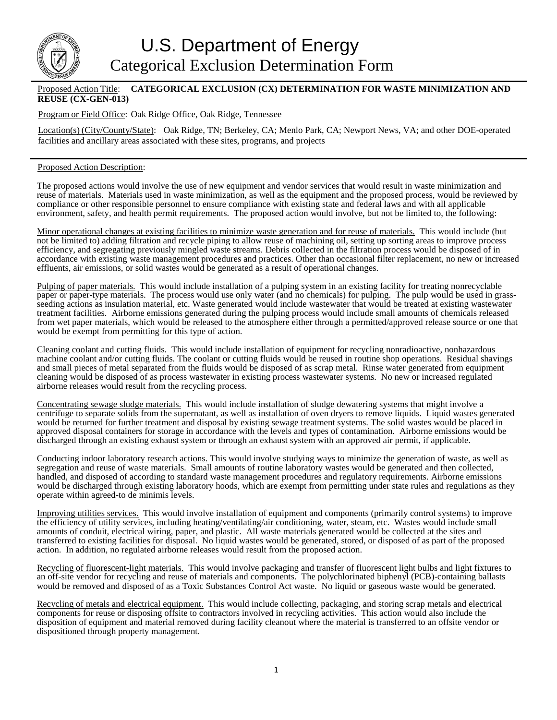

## Proposed Action Title: **CATEGORICAL EXCLUSION (CX) DETERMINATION FOR WASTE MINIMIZATION AND REUSE (CX-GEN-013)**

Program or Field Office: Oak Ridge Office, Oak Ridge, Tennessee

Location(s) (City/County/State): Oak Ridge, TN; Berkeley, CA; Menlo Park, CA; Newport News, VA; and other DOE-operated facilities and ancillary areas associated with these sites, programs, and projects

## Proposed Action Description:

The proposed actions would involve the use of new equipment and vendor services that would result in waste minimization and reuse of materials. Materials used in waste minimization, as well as the equipment and the proposed process, would be reviewed by compliance or other responsible personnel to ensure compliance with existing state and federal laws and with all applicable environment, safety, and health permit requirements. The proposed action would involve, but not be limited to, the following:

Minor operational changes at existing facilities to minimize waste generation and for reuse of materials. This would include (but not be limited to) adding filtration and recycle piping to allow reuse of machining oil, setting up sorting areas to improve process efficiency, and segregating previously mingled waste streams. Debris collected in the filtration process would be disposed of in accordance with existing waste management procedures and practices. Other than occasional filter replacement, no new or increased effluents, air emissions, or solid wastes would be generated as a result of operational changes.

Pulping of paper materials. This would include installation of a pulping system in an existing facility for treating nonrecyclable paper or paper-type materials. The process would use only water (and no chemicals) for pulping. The pulp would be used in grassseeding actions as insulation material, etc. Waste generated would include wastewater that would be treated at existing wastewater treatment facilities. Airborne emissions generated during the pulping process would include small amounts of chemicals released from wet paper materials, which would be released to the atmosphere either through a permitted/approved release source or one that would be exempt from permitting for this type of action.

Cleaning coolant and cutting fluids. This would include installation of equipment for recycling nonradioactive, nonhazardous machine coolant and/or cutting fluids. The coolant or cutting fluids would be reused in routine shop operations. Residual shavings and small pieces of metal separated from the fluids would be disposed of as scrap metal. Rinse water generated from equipment cleaning would be disposed of as process wastewater in existing process wastewater systems. No new or increased regulated airborne releases would result from the recycling process.

Concentrating sewage sludge materials. This would include installation of sludge dewatering systems that might involve a centrifuge to separate solids from the supernatant, as well as installation of oven dryers to remove liquids. Liquid wastes generated would be returned for further treatment and disposal by existing sewage treatment systems. The solid wastes would be placed in approved disposal containers for storage in accordance with the levels and types of contamination. Airborne emissions would be discharged through an existing exhaust system or through an exhaust system with an approved air permit, if applicable.

Conducting indoor laboratory research actions. This would involve studying ways to minimize the generation of waste, as well as segregation and reuse of waste materials. Small amounts of routine laboratory wastes would be generated and then collected, handled, and disposed of according to standard waste management procedures and regulatory requirements. Airborne emissions would be discharged through existing laboratory hoods, which are exempt from permitting under state rules and regulations as they operate within agreed-to de minimis levels.

Improving utilities services. This would involve installation of equipment and components (primarily control systems) to improve the efficiency of utility services, including heating/ventilating/air conditioning, water, steam, etc. Wastes would include small amounts of conduit, electrical wiring, paper, and plastic. All waste materials generated would be collected at the sites and transferred to existing facilities for disposal. No liquid wastes would be generated, stored, or disposed of as part of the proposed action. In addition, no regulated airborne releases would result from the proposed action.

Recycling of fluorescent-light materials. This would involve packaging and transfer of fluorescent light bulbs and light fixtures to an off-site vendor for recycling and reuse of materials and components. The polychlorinated biphenyl (PCB)-containing ballasts would be removed and disposed of as a Toxic Substances Control Act waste. No liquid or gaseous waste would be generated.

Recycling of metals and electrical equipment. This would include collecting, packaging, and storing scrap metals and electrical components for reuse or disposing offsite to contractors involved in recycling activities. This action would also include the disposition of equipment and material removed during facility cleanout where the material is transferred to an offsite vendor or dispositioned through property management.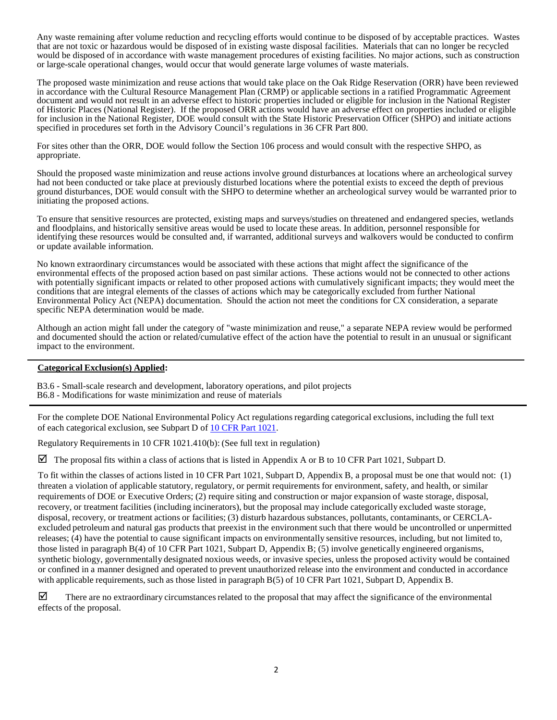Any waste remaining after volume reduction and recycling efforts would continue to be disposed of by acceptable practices. Wastes that are not toxic or hazardous would be disposed of in existing waste disposal facilities. Materials that can no longer be recycled would be disposed of in accordance with waste management procedures of existing facilities. No major actions, such as construction or large-scale operational changes, would occur that would generate large volumes of waste materials.

The proposed waste minimization and reuse actions that would take place on the Oak Ridge Reservation (ORR) have been reviewed in accordance with the Cultural Resource Management Plan (CRMP) or applicable sections in a ratified Programmatic Agreement document and would not result in an adverse effect to historic properties included or eligible for inclusion in the National Register of Historic Places (National Register). If the proposed ORR actions would have an adverse effect on properties included or eligible for inclusion in the National Register, DOE would consult with the State Historic Preservation Officer (SHPO) and initiate actions specified in procedures set forth in the Advisory Council's regulations in 36 CFR Part 800.

For sites other than the ORR, DOE would follow the Section 106 process and would consult with the respective SHPO, as appropriate.

Should the proposed waste minimization and reuse actions involve ground disturbances at locations where an archeological survey had not been conducted or take place at previously disturbed locations where the potential exists to exceed the depth of previous ground disturbances, DOE would consult with the SHPO to determine whether an archeological survey would be warranted prior to initiating the proposed actions.

To ensure that sensitive resources are protected, existing maps and surveys/studies on threatened and endangered species, wetlands and floodplains, and historically sensitive areas would be used to locate these areas. In addition, personnel responsible for identifying these resources would be consulted and, if warranted, additional surveys and walkovers would be conducted to confirm or update available information.

No known extraordinary circumstances would be associated with these actions that might affect the significance of the environmental effects of the proposed action based on past similar actions. These actions would not be connected to other actions with potentially significant impacts or related to other proposed actions with cumulatively significant impacts; they would meet the conditions that are integral elements of the classes of actions which may be categorically excluded from further National Environmental Policy Act (NEPA) documentation. Should the action not meet the conditions for CX consideration, a separate specific NEPA determination would be made.

Although an action might fall under the category of "waste minimization and reuse," a separate NEPA review would be performed and documented should the action or related/cumulative effect of the action have the potential to result in an unusual or significant impact to the environment.

## **Categorical Exclusion(s) Applied:**

B3.6 - Small-scale research and development, laboratory operations, and pilot projects B6.8 - Modifications for waste minimization and reuse of materials

For the complete DOE National Environmental Policy Act regulations regarding categorical exclusions, including the full text of each categorical exclusion, see Subpart D of 10 CFR Part [1021.](http://energy.gov/nepa/downloads/10-cfr-1021-department-energy-national-environmental-policy-act-implementing)

Regulatory Requirements in 10 CFR 1021.410(b): (See full text in regulation)

The proposal fits within a class of actions that is listed in Appendix A or B to 10 CFR Part 1021, Subpart D.

To fit within the classes of actions listed in 10 CFR Part 1021, Subpart D, Appendix B, a proposal must be one that would not: (1) threaten a violation of applicable statutory, regulatory, or permit requirements for environment, safety, and health, or similar requirements of DOE or Executive Orders; (2) require siting and construction or major expansion of waste storage, disposal, recovery, or treatment facilities (including incinerators), but the proposal may include categorically excluded waste storage, disposal, recovery, or treatment actions or facilities; (3) disturb hazardous substances, pollutants, contaminants, or CERCLAexcluded petroleum and natural gas products that preexist in the environment such that there would be uncontrolled or unpermitted releases; (4) have the potential to cause significant impacts on environmentally sensitive resources, including, but not limited to, those listed in paragraph B(4) of 10 CFR Part 1021, Subpart D, Appendix B; (5) involve genetically engineered organisms, synthetic biology, governmentally designated noxious weeds, or invasive species, unless the proposed activity would be contained or confined in a manner designed and operated to prevent unauthorized release into the environment and conducted in accordance with applicable requirements, such as those listed in paragraph B(5) of 10 CFR Part 1021, Subpart D, Appendix B.

There are no extraordinary circumstances related to the proposal that may affect the significance of the environmental effects of the proposal.